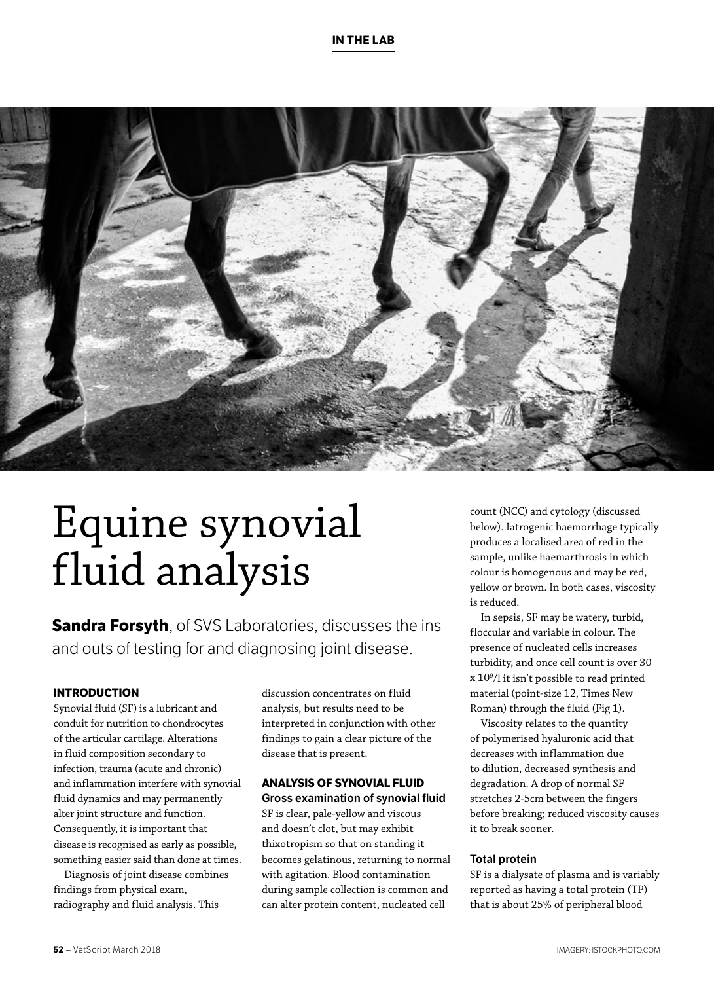

# Equine synovial fluid analysis

**Sandra Forsyth**, of SVS Laboratories, discusses the ins and outs of testing for and diagnosing joint disease.

### **INTRODUCTION**

Synovial fluid (SF) is a lubricant and conduit for nutrition to chondrocytes of the articular cartilage. Alterations in fluid composition secondary to infection, trauma (acute and chronic) and inflammation interfere with synovial fluid dynamics and may permanently alter joint structure and function. Consequently, it is important that disease is recognised as early as possible, something easier said than done at times.

Diagnosis of joint disease combines findings from physical exam, radiography and fluid analysis. This

discussion concentrates on fluid analysis, but results need to be interpreted in conjunction with other findings to gain a clear picture of the disease that is present.

# **ANALYSIS OF SYNOVIAL FLUID Gross examination of synovial fluid**

SF is clear, pale-yellow and viscous and doesn't clot, but may exhibit thixotropism so that on standing it becomes gelatinous, returning to normal with agitation. Blood contamination during sample collection is common and can alter protein content, nucleated cell

count (NCC) and cytology (discussed below). Iatrogenic haemorrhage typically produces a localised area of red in the sample, unlike haemarthrosis in which colour is homogenous and may be red, yellow or brown. In both cases, viscosity is reduced.

In sepsis, SF may be watery, turbid, floccular and variable in colour. The presence of nucleated cells increases turbidity, and once cell count is over 30 x 109 /l it isn't possible to read printed material (point-size 12, Times New Roman) through the fluid (Fig 1).

Viscosity relates to the quantity of polymerised hyaluronic acid that decreases with inflammation due to dilution, decreased synthesis and degradation. A drop of normal SF stretches 2-5cm between the fingers before breaking; reduced viscosity causes it to break sooner.

# **Total protein**

SF is a dialysate of plasma and is variably reported as having a total protein (TP) that is about 25% of peripheral blood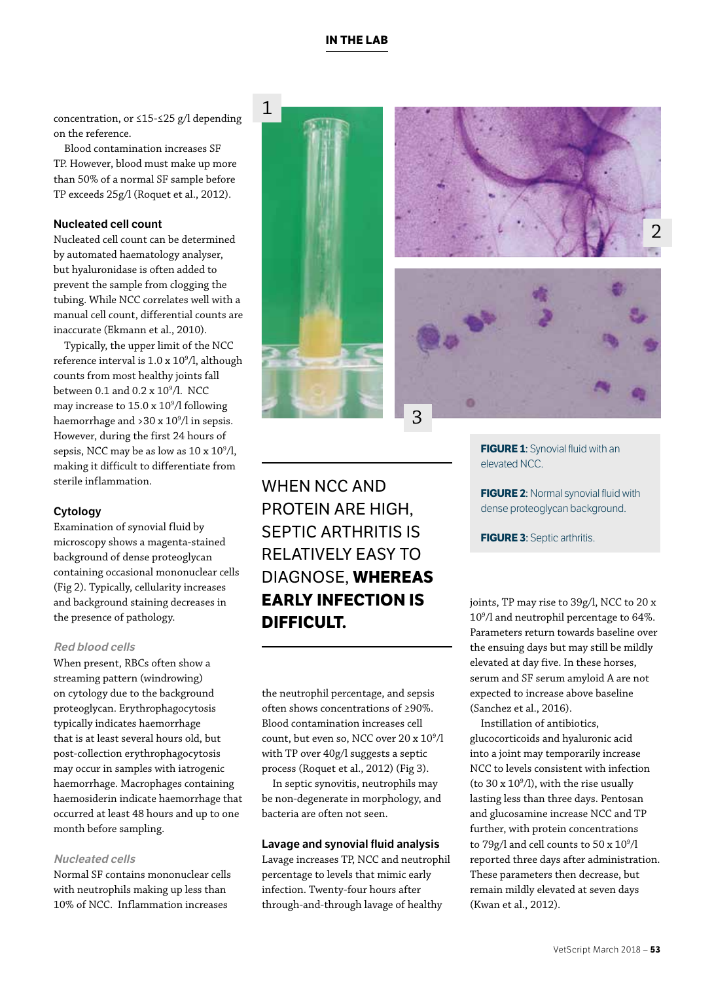VetScript March 2018 – **53**

concentration, or ≤15-≤25 g/l depending on the reference.

Blood contamination increases SF TP. However, blood must make up more than 50% of a normal SF sample before TP exceeds 25g/l (Roquet et al., 2012).

# **Nucleated cell count**

Nucleated cell count can be determined by automated haematology analyser, but hyaluronidase is often added to prevent the sample from clogging the tubing. While NCC correlates well with a manual cell count, differential counts are inaccurate (Ekmann et al., 2010).

Typically, the upper limit of the NCC reference interval is 1.0 x 10º/l, although counts from most healthy joints fall between 0.1 and 0.2 x 10<sup>9</sup>/l. NCC may increase to 15.0 x 109 /l following haemorrhage and >30 x 109 /l in sepsis. However, during the first 24 hours of sepsis, NCC may be as low as  $10 \times 10^9 / l$ , making it difficult to differentiate from sterile inflammation.

# **Cytology**

Examination of synovial fluid by microscopy shows a magenta-stained background of dense proteoglycan containing occasional mononuclear cells (Fig 2). Typically, cellularity increases and background staining decreases in the presence of pathology.

### **Red blood cells**

When present, RBCs often show a streaming pattern (windrowing) on cytology due to the background proteoglycan. Erythrophagocytosis typically indicates haemorrhage that is at least several hours old, but post-collection erythrophagocytosis may occur in samples with iatrogenic haemorrhage. Macrophages containing haemosiderin indicate haemorrhage that occurred at least 48 hours and up to one month before sampling.

# **Nucleated cells**

Normal SF contains mononuclear cells with neutrophils making up less than 10% of NCC. Inflammation increases

WHEN NCC AND

3

the neutrophil percentage, and sepsis often shows concentrations of ≥90%. Blood contamination increases cell count, but even so, NCC over 20 x  $10^9/1$ with TP over 40g/l suggests a septic process (Roquet et al., 2012) (Fig 3).

In septic synovitis, neutrophils may be non-degenerate in morphology, and bacteria are often not seen.

### **Lavage and synovial fluid analysis**

Lavage increases TP, NCC and neutrophil percentage to levels that mimic early infection. Twenty-four hours after through-and-through lavage of healthy

**FIGURE 1:** Synovial fluid with an elevated NCC.

**FIGURE 2: Normal synovial fluid with** dense proteoglycan background.

**FIGURE 3**: Septic arthritis.

joints, TP may rise to 39g/l, NCC to 20 x 109 /l and neutrophil percentage to 64%. Parameters return towards baseline over the ensuing days but may still be mildly elevated at day five. In these horses, serum and SF serum amyloid A are not expected to increase above baseline (Sanchez et al., 2016).

Instillation of antibiotics, glucocorticoids and hyaluronic acid into a joint may temporarily increase NCC to levels consistent with infection (to  $30 \times 10^9$ /l), with the rise usually lasting less than three days. Pentosan and glucosamine increase NCC and TP further, with protein concentrations to 79g/l and cell counts to 50 x 10<sup>9</sup>/l reported three days after administration. These parameters then decrease, but remain mildly elevated at seven days (Kwan et al., 2012).

# PROTEIN ARE HIGH, SEPTIC ARTHRITIS IS RELATIVELY EASY TO DIAGNOSE, **WHEREAS EARLY INFECTION IS DIFFICULT.**





# **IN THE LAB**

1